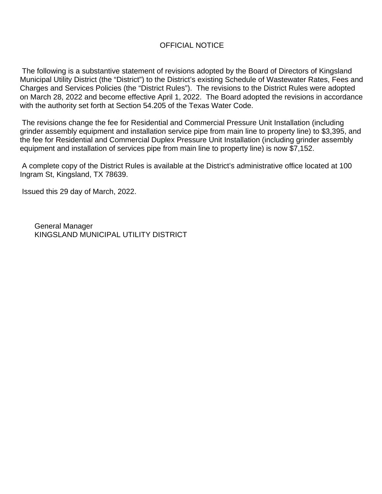## OFFICIAL NOTICE

The following is a substantive statement of revisions adopted by the Board of Directors of Kingsland Municipal Utility District (the "District") to the District's existing Schedule of Wastewater Rates, Fees and Charges and Services Policies (the "District Rules"). The revisions to the District Rules were adopted on March 28, 2022 and become effective April 1, 2022. The Board adopted the revisions in accordance with the authority set forth at Section 54.205 of the Texas Water Code.

The revisions change the fee for Residential and Commercial Pressure Unit Installation (including grinder assembly equipment and installation service pipe from main line to property line) to \$3,395, and the fee for Residential and Commercial Duplex Pressure Unit Installation (including grinder assembly equipment and installation of services pipe from main line to property line) is now \$7,152.

A complete copy of the District Rules is available at the District's administrative office located at 100 Ingram St, Kingsland, TX 78639.

Issued this 29 day of March, 2022.

General Manager KINGSLAND MUNICIPAL UTILITY DISTRICT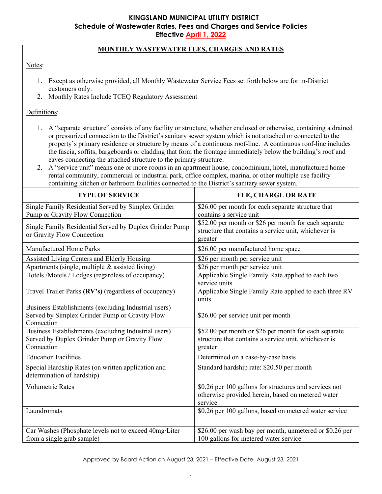# **KINGSLAND MUNICIPAL UTILITY DISTRICT Schedule of Wastewater Rates, Fees and Charges and Service Policies**

**Effective April 1, 2022**

### **MONTHLY WASTEWATER FEES, CHARGES AND RATES**

### Notes:

- 1. Except as otherwise provided, all Monthly Wastewater Service Fees set forth below are for in-District customers only.
- 2. Monthly Rates Include TCEQ Regulatory Assessment

Definitions:

- 1. A "separate structure" consists of any facility or structure, whether enclosed or otherwise, containing a drained or pressurized connection to the District's sanitary sewer system which is not attached or connected to the property's primary residence or structure by means of a continuous roof-line. A continuous roof-line includes the fascia, soffits, bargeboards or cladding that form the frontage immediately below the building's [roof](https://en.wikipedia.org/wiki/Roof) and [eaves](https://en.wikipedia.org/wiki/Eaves) connecting the attached structure to the primary structure.
- 2. A "service unit" means one or more rooms in an apartment house, condominium, hotel, manufactured home rental community, commercial or industrial park, office complex, marina, or other multiple use facility containing kitchen or bathroom facilities connected to the District's sanitary sewer system.

| <b>TYPE OF SERVICE</b>                                                                                               | <b>FEE, CHARGE OR RATE</b>                                                                                               |
|----------------------------------------------------------------------------------------------------------------------|--------------------------------------------------------------------------------------------------------------------------|
| Single Family Residential Served by Simplex Grinder<br>Pump or Gravity Flow Connection                               | \$26.00 per month for each separate structure that<br>contains a service unit                                            |
| Single Family Residential Served by Duplex Grinder Pump<br>or Gravity Flow Connection                                | \$52.00 per month or \$26 per month for each separate<br>structure that contains a service unit, whichever is<br>greater |
| <b>Manufactured Home Parks</b>                                                                                       | \$26.00 per manufactured home space                                                                                      |
| Assisted Living Centers and Elderly Housing                                                                          | \$26 per month per service unit                                                                                          |
| Apartments (single, multiple & assisted living)                                                                      | \$26 per month per service unit                                                                                          |
| Hotels /Motels / Lodges (regardless of occupancy)                                                                    | Applicable Single Family Rate applied to each two<br>service units                                                       |
| Travel Trailer Parks (RV's) (regardless of occupancy)                                                                | Applicable Single Family Rate applied to each three RV<br>units                                                          |
| Business Establishments (excluding Industrial users)<br>Served by Simplex Grinder Pump or Gravity Flow<br>Connection | \$26.00 per service unit per month                                                                                       |
| Business Establishments (excluding Industrial users)<br>Served by Duplex Grinder Pump or Gravity Flow<br>Connection  | \$52.00 per month or \$26 per month for each separate<br>structure that contains a service unit, whichever is<br>greater |
| <b>Education Facilities</b>                                                                                          | Determined on a case-by-case basis                                                                                       |
| Special Hardship Rates (on written application and<br>determination of hardship)                                     | Standard hardship rate: \$20.50 per month                                                                                |
| <b>Volumetric Rates</b>                                                                                              | \$0.26 per 100 gallons for structures and services not<br>otherwise provided herein, based on metered water<br>service   |
| Laundromats                                                                                                          | \$0.26 per 100 gallons, based on metered water service                                                                   |
| Car Washes (Phosphate levels not to exceed 40mg/Liter<br>from a single grab sample)                                  | \$26.00 per wash bay per month, unmetered or \$0.26 per<br>100 gallons for metered water service                         |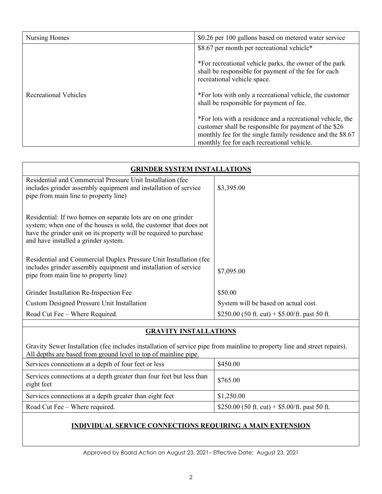| Nursing Homes                | \$0.26 per 100 gallons based on metered water service                                                                                                                                                                           |  |
|------------------------------|---------------------------------------------------------------------------------------------------------------------------------------------------------------------------------------------------------------------------------|--|
|                              | \$8.67 per month per recreational vehicle*                                                                                                                                                                                      |  |
|                              | *For recreational vehicle parks, the owner of the park<br>shall be responsible for payment of the fee for each<br>recreational vehicle space.                                                                                   |  |
| <b>Recreational Vehicles</b> | *For lots with only a recreational vehicle, the customer<br>shall be responsible for payment of fee.                                                                                                                            |  |
|                              | *For lots with a residence and a recreational vehicle, the<br>customer shall be responsible for payment of the \$26<br>monthly fee for the single family residence and the \$8.67<br>monthly fee for each recreational vehicle. |  |

| <b>GRINDER SYSTEM INSTALLATIONS</b>                                                                                                                                                                                                               |                                                |  |
|---------------------------------------------------------------------------------------------------------------------------------------------------------------------------------------------------------------------------------------------------|------------------------------------------------|--|
| Residential and Commercial Pressure Unit Installation (fee<br>includes grinder assembly equipment and installation of service<br>pipe from main line to property line)                                                                            | \$3,395.00                                     |  |
| Residential: If two homes on separate lots are on one grinder<br>system; when one of the houses is sold, the customer that does not<br>have the grinder unit on its property will be required to purchase<br>and have installed a grinder system. |                                                |  |
| Residential and Commercial Duplex Pressure Unit Installation (fee<br>includes grinder assembly equipment and installation of service<br>pipe from main line to property line)                                                                     | \$7,095.00                                     |  |
| Grinder Installation Re-Inspection Fee                                                                                                                                                                                                            | \$50.00                                        |  |
| <b>Custom Designed Pressure Unit Installation</b>                                                                                                                                                                                                 | System will be based on actual cost.           |  |
| Road Cut Fee – Where Required.                                                                                                                                                                                                                    | \$250.00 (50 ft. cut) + \$5.00/ft. past 50 ft. |  |

# **GRAVITY INSTALLATIONS**

Gravity Sewer Installation (fee includes installation of service pipe from mainline to property line and street repairs). All depths are based from ground level to top of mainline pipe.

| Services connections at a depth of four feet or less                               | \$450.00                                       |
|------------------------------------------------------------------------------------|------------------------------------------------|
| Services connections at a depth greater than four feet but less than<br>eight feet | \$765.00                                       |
| Services connections at a depth greater than eight feet                            | \$1,250.00                                     |
| Road Cut Fee – Where required.                                                     | \$250.00 (50 ft. cut) + \$5.00/ft. past 50 ft. |

### **INDIVIDUAL SERVICE CONNECTIONS REQUIRING A MAIN EXTENSION**

Approved by Board Action on August 23, 2021– Effective Date: August 23, 2021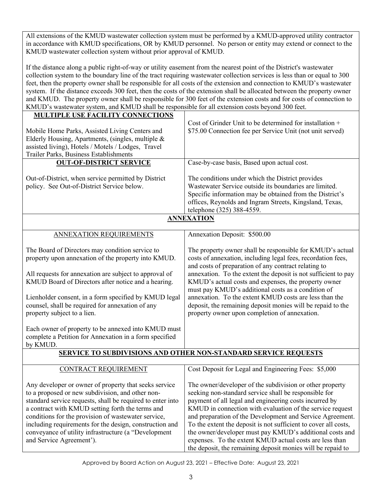All extensions of the KMUD wastewater collection system must be performed by a KMUD-approved utility contractor in accordance with KMUD specifications, OR by KMUD personnel. No person or entity may extend or connect to the KMUD wastewater collection system without prior approval of KMUD.

If the distance along a public right-of-way or utility easement from the nearest point of the District's wastewater collection system to the boundary line of the tract requiring wastewater collection services is less than or equal to 300 feet, then the property owner shall be responsible for all costs of the extension and connection to KMUD's wastewater system. If the distance exceeds 300 feet, then the costs of the extension shall be allocated between the property owner and KMUD. The property owner shall be responsible for 300 feet of the extension costs and for costs of connection to KMUD's wastewater system, and KMUD shall be responsible for all extension costs beyond 300 feet.

| MULTIPLE USE FACILITY CONNECTIONS                                                                             |                                                                                                            |
|---------------------------------------------------------------------------------------------------------------|------------------------------------------------------------------------------------------------------------|
|                                                                                                               | Cost of Grinder Unit to be determined for installation +                                                   |
| Mobile Home Parks, Assisted Living Centers and                                                                | \$75.00 Connection fee per Service Unit (not unit served)                                                  |
| Elderly Housing, Apartments, (singles, multiple &                                                             |                                                                                                            |
| assisted living), Hotels / Motels / Lodges, Travel                                                            |                                                                                                            |
| Trailer Parks, Business Establishments                                                                        |                                                                                                            |
| <b>OUT-OF-DISTRICT SERVICE</b>                                                                                | Case-by-case basis, Based upon actual cost.                                                                |
|                                                                                                               |                                                                                                            |
| Out-of-District, when service permitted by District<br>policy. See Out-of-District Service below.             | The conditions under which the District provides<br>Wastewater Service outside its boundaries are limited. |
|                                                                                                               | Specific information may be obtained from the District's                                                   |
|                                                                                                               | offices, Reynolds and Ingram Streets, Kingsland, Texas,                                                    |
|                                                                                                               | telephone (325) 388-4559.                                                                                  |
|                                                                                                               | <b>ANNEXATION</b>                                                                                          |
|                                                                                                               |                                                                                                            |
| <b>ANNEXATION REQUIREMENTS</b>                                                                                | Annexation Deposit: \$500.00                                                                               |
| The Board of Directors may condition service to                                                               | The property owner shall be responsible for KMUD's actual                                                  |
| property upon annexation of the property into KMUD.                                                           | costs of annexation, including legal fees, recordation fees,                                               |
|                                                                                                               | and costs of preparation of any contract relating to                                                       |
| All requests for annexation are subject to approval of                                                        | annexation. To the extent the deposit is not sufficient to pay                                             |
| KMUD Board of Directors after notice and a hearing.                                                           | KMUD's actual costs and expenses, the property owner                                                       |
|                                                                                                               | must pay KMUD's additional costs as a condition of                                                         |
| Lienholder consent, in a form specified by KMUD legal                                                         | annexation. To the extent KMUD costs are less than the                                                     |
| counsel, shall be required for annexation of any                                                              | deposit, the remaining deposit monies will be repaid to the                                                |
| property subject to a lien.                                                                                   | property owner upon completion of annexation.                                                              |
|                                                                                                               |                                                                                                            |
| Each owner of property to be annexed into KMUD must<br>complete a Petition for Annexation in a form specified |                                                                                                            |
| by KMUD.                                                                                                      |                                                                                                            |
|                                                                                                               | <b>SERVICE TO SUBDIVISIONS AND OTHER NON-STANDARD SERVICE REQUESTS</b>                                     |
|                                                                                                               |                                                                                                            |
| <b>CONTRACT REQUIREMENT</b>                                                                                   | Cost Deposit for Legal and Engineering Fees: \$5,000                                                       |
| Any developer or owner of property that seeks service                                                         | The owner/developer of the subdivision or other property                                                   |
| to a proposed or new subdivision, and other non-                                                              | seeking non-standard service shall be responsible for                                                      |
| standard service requests, shall be required to enter into                                                    | payment of all legal and engineering costs incurred by                                                     |
| a contract with KMUD setting forth the terms and                                                              | KMUD in connection with evaluation of the service request                                                  |
| conditions for the provision of wastewater service,                                                           | and preparation of the Development and Service Agreement.                                                  |
| including requirements for the design, construction and                                                       | To the extent the deposit is not sufficient to cover all costs,                                            |
| conveyance of utility infrastructure (a "Development                                                          | the owner/developer must pay KMUD's additional costs and                                                   |
| and Service Agreement').                                                                                      | expenses. To the extent KMUD actual costs are less than                                                    |
|                                                                                                               | the deposit, the remaining deposit monies will be repaid to                                                |

Approved by Board Action on August 23, 2021 – Effective Date: August 23, 2021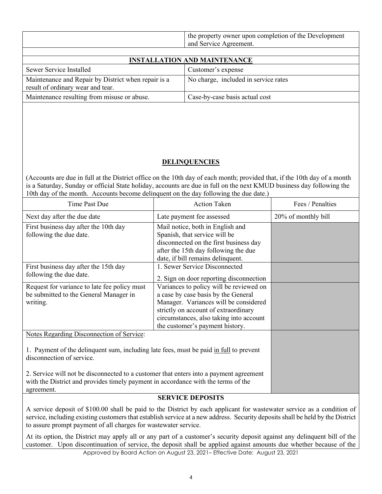| the property owner upon completion of the Development<br>Service Agreement.<br>and |
|------------------------------------------------------------------------------------|
|                                                                                    |

| <b>INSTALLATION AND MAINTENANCE</b>                                                      |                                      |  |
|------------------------------------------------------------------------------------------|--------------------------------------|--|
| Sewer Service Installed                                                                  | Customer's expense                   |  |
| Maintenance and Repair by District when repair is a<br>result of ordinary wear and tear. | No charge, included in service rates |  |
| Maintenance resulting from misuse or abuse.                                              | Case-by-case basis actual cost       |  |

### **DELINQUENCIES**

(Accounts are due in full at the District office on the 10th day of each month; provided that, if the 10th day of a month is a Saturday, Sunday or official State holiday, accounts are due in full on the next KMUD business day following the 10th day of the month. Accounts become delinquent on the day following the due date.)

| Time Past Due                                                                                                                                                                             | <b>Action Taken</b>                                                                                                                                                                                                                           | Fees / Penalties    |
|-------------------------------------------------------------------------------------------------------------------------------------------------------------------------------------------|-----------------------------------------------------------------------------------------------------------------------------------------------------------------------------------------------------------------------------------------------|---------------------|
| Next day after the due date                                                                                                                                                               | Late payment fee assessed                                                                                                                                                                                                                     | 20% of monthly bill |
| First business day after the 10th day<br>following the due date.                                                                                                                          | Mail notice, both in English and<br>Spanish, that service will be<br>disconnected on the first business day<br>after the 15th day following the due<br>date, if bill remains delinquent.                                                      |                     |
| First business day after the 15th day<br>following the due date.                                                                                                                          | 1. Sewer Service Disconnected<br>2. Sign on door reporting disconnection                                                                                                                                                                      |                     |
| Request for variance to late fee policy must<br>be submitted to the General Manager in<br>writing.                                                                                        | Variances to policy will be reviewed on<br>a case by case basis by the General<br>Manager. Variances will be considered<br>strictly on account of extraordinary<br>circumstances, also taking into account<br>the customer's payment history. |                     |
| Notes Regarding Disconnection of Service:<br>1. Payment of the delinquent sum, including late fees, must be paid in full to prevent<br>disconnection of service.                          |                                                                                                                                                                                                                                               |                     |
| 2. Service will not be disconnected to a customer that enters into a payment agreement<br>with the District and provides timely payment in accordance with the terms of the<br>agreement. |                                                                                                                                                                                                                                               |                     |

#### **SERVICE DEPOSITS**

A service deposit of \$100.00 shall be paid to the District by each applicant for wastewater service as a condition of service, including existing customers that establish service at a new address. Security deposits shall be held by the District to assure prompt payment of all charges for wastewater service.

At its option, the District may apply all or any part of a customer's security deposit against any delinquent bill of the customer. Upon discontinuation of service, the deposit shall be applied against amounts due whether because of the

Approved by Board Action on August 23, 2021– Effective Date: August 23, 2021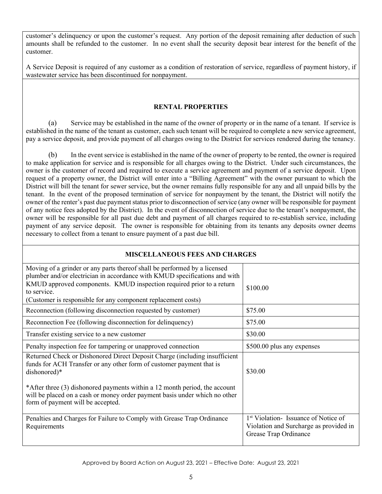customer's delinquency or upon the customer's request. Any portion of the deposit remaining after deduction of such amounts shall be refunded to the customer. In no event shall the security deposit bear interest for the benefit of the customer.

A Service Deposit is required of any customer as a condition of restoration of service, regardless of payment history, if wastewater service has been discontinued for nonpayment.

### **RENTAL PROPERTIES**

(a) Service may be established in the name of the owner of property or in the name of a tenant. If service is established in the name of the tenant as customer, each such tenant will be required to complete a new service agreement, pay a service deposit, and provide payment of all charges owing to the District for services rendered during the tenancy.

(b) In the event service is established in the name of the owner of property to be rented, the owner is required to make application for service and is responsible for all charges owing to the District. Under such circumstances, the owner is the customer of record and required to execute a service agreement and payment of a service deposit. Upon request of a property owner, the District will enter into a "Billing Agreement" with the owner pursuant to which the District will bill the tenant for sewer service, but the owner remains fully responsible for any and all unpaid bills by the tenant. In the event of the proposed termination of service for nonpayment by the tenant, the District will notify the owner of the renter's past due payment status prior to disconnection of service (any owner will be responsible for payment of any notice fees adopted by the District). In the event of disconnection of service due to the tenant's nonpayment, the owner will be responsible for all past due debt and payment of all charges required to re-establish service, including payment of any service deposit. The owner is responsible for obtaining from its tenants any deposits owner deems necessary to collect from a tenant to ensure payment of a past due bill.

| <b>MISCELLANEOUS FEES AND CHARGES</b>                                                                                                                                                                                                                                                                                                                               |                                                                                                                   |  |
|---------------------------------------------------------------------------------------------------------------------------------------------------------------------------------------------------------------------------------------------------------------------------------------------------------------------------------------------------------------------|-------------------------------------------------------------------------------------------------------------------|--|
| Moving of a grinder or any parts thereof shall be performed by a licensed<br>plumber and/or electrician in accordance with KMUD specifications and with<br>KMUD approved components. KMUD inspection required prior to a return<br>to service.<br>(Customer is responsible for any component replacement costs)                                                     | \$100.00                                                                                                          |  |
| Reconnection (following disconnection requested by customer)                                                                                                                                                                                                                                                                                                        | \$75.00                                                                                                           |  |
| Reconnection Fee (following disconnection for delinquency)                                                                                                                                                                                                                                                                                                          | \$75.00                                                                                                           |  |
| Transfer existing service to a new customer                                                                                                                                                                                                                                                                                                                         | \$30.00                                                                                                           |  |
| Penalty inspection fee for tampering or unapproved connection                                                                                                                                                                                                                                                                                                       | \$500.00 plus any expenses                                                                                        |  |
| Returned Check or Dishonored Direct Deposit Charge (including insufficient<br>funds for ACH Transfer or any other form of customer payment that is<br>dishonored)*<br>*After three (3) dishonored payments within a 12 month period, the account<br>will be placed on a cash or money order payment basis under which no other<br>form of payment will be accepted. | \$30.00                                                                                                           |  |
| Penalties and Charges for Failure to Comply with Grease Trap Ordinance<br>Requirements                                                                                                                                                                                                                                                                              | <sup>1st</sup> Violation-Issuance of Notice of<br>Violation and Surcharge as provided in<br>Grease Trap Ordinance |  |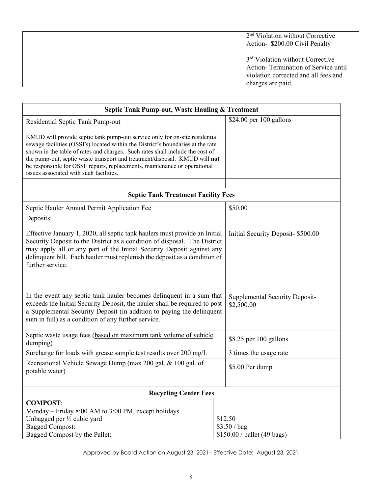| $2nd$ Violation without Corrective<br>Action- \$200.00 Civil Penalty                                                                             |
|--------------------------------------------------------------------------------------------------------------------------------------------------|
| 3 <sup>rd</sup> Violation without Corrective<br>Action-Termination of Service until<br>violation corrected and all fees and<br>charges are paid. |

| Septic Tank Pump-out, Waste Hauling & Treatment                                                                                                                                                                                                                                                                                                                                                                                                      |                                                        |  |
|------------------------------------------------------------------------------------------------------------------------------------------------------------------------------------------------------------------------------------------------------------------------------------------------------------------------------------------------------------------------------------------------------------------------------------------------------|--------------------------------------------------------|--|
| Residential Septic Tank Pump-out                                                                                                                                                                                                                                                                                                                                                                                                                     | \$24.00 per 100 gallons                                |  |
| KMUD will provide septic tank pump-out service only for on-site residential<br>sewage facilities (OSSFs) located within the District's boundaries at the rate<br>shown in the table of rates and charges. Such rates shall include the cost of<br>the pump-out, septic waste transport and treatment/disposal. KMUD will not<br>be responsible for OSSF repairs, replacements, maintenance or operational<br>issues associated with such facilities. |                                                        |  |
| <b>Septic Tank Treatment Facility Fees</b>                                                                                                                                                                                                                                                                                                                                                                                                           |                                                        |  |
| Septic Hauler Annual Permit Application Fee                                                                                                                                                                                                                                                                                                                                                                                                          | \$50.00                                                |  |
| Deposits:                                                                                                                                                                                                                                                                                                                                                                                                                                            |                                                        |  |
| Effective January 1, 2020, all septic tank haulers must provide an Initial<br>Security Deposit to the District as a condition of disposal. The District<br>may apply all or any part of the Initial Security Deposit against any<br>delinquent bill. Each hauler must replenish the deposit as a condition of<br>further service.                                                                                                                    | Initial Security Deposit- \$500.00                     |  |
| In the event any septic tank hauler becomes delinquent in a sum that<br>exceeds the Initial Security Deposit, the hauler shall be required to post<br>a Supplemental Security Deposit (in addition to paying the delinquent<br>sum in full) as a condition of any further service.                                                                                                                                                                   | <b>Supplemental Security Deposit-</b><br>\$2,500.00    |  |
| Septic waste usage fees (based on maximum tank volume of vehicle<br>dumping)                                                                                                                                                                                                                                                                                                                                                                         | \$8.25 per 100 gallons                                 |  |
| Surcharge for loads with grease sample test results over 200 mg/L                                                                                                                                                                                                                                                                                                                                                                                    | 3 times the usage rate                                 |  |
| Recreational Vehicle Sewage Dump (max 200 gal. & 100 gal. of<br>potable water)                                                                                                                                                                                                                                                                                                                                                                       | \$5.00 Per dump                                        |  |
|                                                                                                                                                                                                                                                                                                                                                                                                                                                      |                                                        |  |
| <b>Recycling Center Fees</b>                                                                                                                                                                                                                                                                                                                                                                                                                         |                                                        |  |
| <b>COMPOST:</b><br>Monday - Friday 8:00 AM to 3:00 PM, except holidays<br>Unbagged per $\frac{1}{2}$ cubic yard<br><b>Bagged Compost:</b><br>Bagged Compost by the Pallet:                                                                                                                                                                                                                                                                           | \$12.50<br>\$3.50 / bag<br>\$150.00 / pallet (49 bags) |  |

Approved by Board Action on August 23, 2021– Effective Date: August 23, 2021